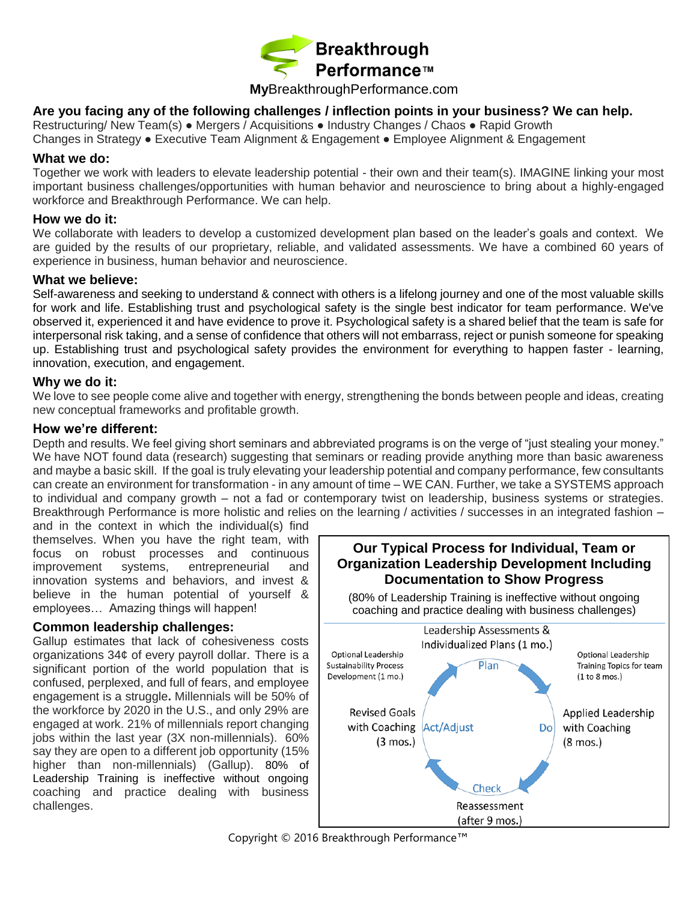

# **My**BreakthroughPerformance.com

## **Are you facing any of the following challenges / inflection points in your business? We can help.**

Restructuring/ New Team(s) **●** Mergers / Acquisitions **●** Industry Changes / Chaos **●** Rapid Growth

Changes in Strategy **●** Executive Team Alignment & Engagement **●** Employee Alignment & Engagement

#### **What we do:**

Together we work with leaders to elevate leadership potential - their own and their team(s). IMAGINE linking your most important business challenges/opportunities with human behavior and neuroscience to bring about a highly-engaged workforce and Breakthrough Performance. We can help.

#### **How we do it:**

We collaborate with leaders to develop a customized development plan based on the leader's goals and context. We are guided by the results of our proprietary, reliable, and validated assessments. We have a combined 60 years of experience in business, human behavior and neuroscience.

#### **What we believe:**

Self-awareness and seeking to understand & connect with others is a lifelong journey and one of the most valuable skills for work and life. Establishing trust and psychological safety is the single best indicator for team performance. We've observed it, experienced it and have evidence to prove it. Psychological safety is a shared belief that the team is safe for interpersonal risk taking, and a sense of confidence that others will not embarrass, reject or punish someone for speaking up. Establishing trust and psychological safety provides the environment for everything to happen faster - learning, innovation, execution, and engagement.

## **Why we do it:**

We love to see people come alive and together with energy, strengthening the bonds between people and ideas, creating new conceptual frameworks and profitable growth.

### **How we're different:**

Depth and results. We feel giving short seminars and abbreviated programs is on the verge of "just stealing your money." We have NOT found data (research) suggesting that seminars or reading provide anything more than basic awareness and maybe a basic skill. If the goal is truly elevating your leadership potential and company performance, few consultants can create an environment for transformation - in any amount of time – WE CAN. Further, we take a SYSTEMS approach to individual and company growth – not a fad or contemporary twist on leadership, business systems or strategies. Breakthrough Performance is more holistic and relies on the learning / activities / successes in an integrated fashion –

and in the context in which the individual(s) find themselves. When you have the right team, with focus on robust processes and continuous improvement systems, entrepreneurial and innovation systems and behaviors, and invest & believe in the human potential of yourself & employees… Amazing things will happen!

#### **Common leadership challenges:**

Gallup estimates that lack of cohesiveness costs organizations 34¢ of every payroll dollar. There is a significant portion of the world population that is confused, perplexed, and full of fears, and employee engagement is a struggle**.** Millennials will be 50% of the workforce by 2020 in the U.S., and only 29% are engaged at work. 21% of millennials report changing jobs within the last year (3X non-millennials). 60% say they are open to a different job opportunity (15% higher than non-millennials) (Gallup). 80% of Leadership Training is ineffective without ongoing coaching and practice dealing with business challenges.



Copyright © 2016 Breakthrough Performance™